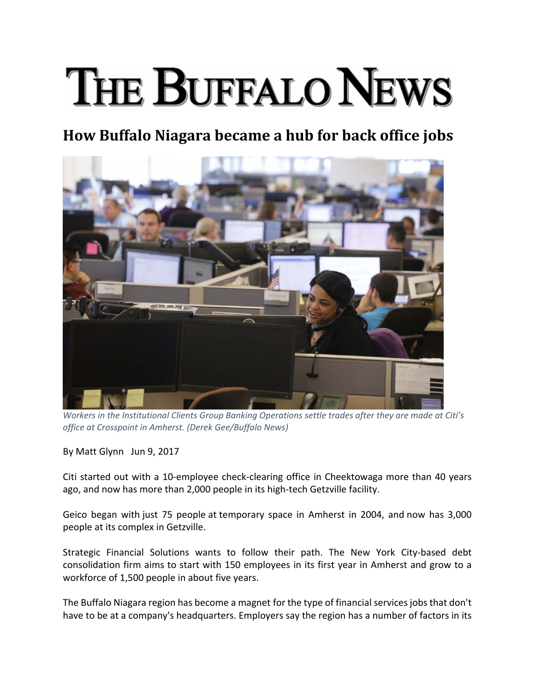## THE BUFFALO NEWS

## **How Buffalo Niagara became a hub for back office jobs**



*Workers in the Institutional Clients Group Banking Operations settle trades after they are made at Citi's office at Crosspoint in Amherst. (Derek Gee/Buffalo News)*

By Matt Glynn Jun 9, 2017

Citi started out with a 10‐employee check‐clearing office in Cheektowaga more than 40 years ago, and now has more than 2,000 people in its high‐tech Getzville facility.

Geico began with just 75 people at temporary space in Amherst in 2004, and now has 3,000 people at its complex in Getzville.

Strategic Financial Solutions wants to follow their path. The New York City-based debt consolidation firm aims to start with 150 employees in its first year in Amherst and grow to a workforce of 1,500 people in about five years.

The Buffalo Niagara region has become a magnet for the type of financial services jobs that don't have to be at a company's headquarters. Employers say the region has a number of factors in its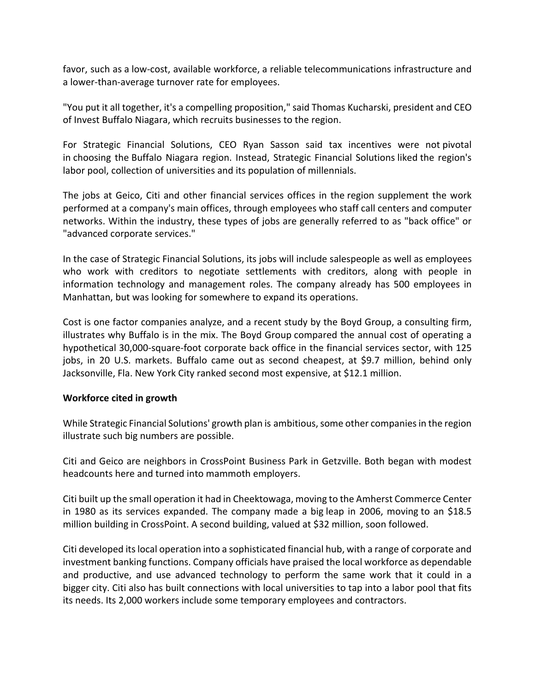favor, such as a low‐cost, available workforce, a reliable telecommunications infrastructure and a lower-than-average turnover rate for employees.

"You put it all together, it's a compelling proposition," said Thomas Kucharski, president and CEO of Invest Buffalo Niagara, which recruits businesses to the region.

For Strategic Financial Solutions, CEO Ryan Sasson said tax incentives were not pivotal in choosing the Buffalo Niagara region. Instead, Strategic Financial Solutions liked the region's labor pool, collection of universities and its population of millennials.

The jobs at Geico, Citi and other financial services offices in the region supplement the work performed at a company's main offices, through employees who staff call centers and computer networks. Within the industry, these types of jobs are generally referred to as "back office" or "advanced corporate services."

In the case of Strategic Financial Solutions, its jobs will include salespeople as well as employees who work with creditors to negotiate settlements with creditors, along with people in information technology and management roles. The company already has 500 employees in Manhattan, but was looking for somewhere to expand its operations.

Cost is one factor companies analyze, and a recent study by the Boyd Group, a consulting firm, illustrates why Buffalo is in the mix. The Boyd Group compared the annual cost of operating a hypothetical 30,000-square-foot corporate back office in the financial services sector, with 125 jobs, in 20 U.S. markets. Buffalo came out as second cheapest, at \$9.7 million, behind only Jacksonville, Fla. New York City ranked second most expensive, at \$12.1 million.

## **Workforce cited in growth**

While Strategic Financial Solutions' growth plan is ambitious, some other companies in the region illustrate such big numbers are possible.

Citi and Geico are neighbors in CrossPoint Business Park in Getzville. Both began with modest headcounts here and turned into mammoth employers.

Citi built up the small operation it had in Cheektowaga, moving to the Amherst Commerce Center in 1980 as its services expanded. The company made a big leap in 2006, moving to an \$18.5 million building in CrossPoint. A second building, valued at \$32 million, soon followed.

Citi developed itslocal operation into a sophisticated financial hub, with a range of corporate and investment banking functions. Company officials have praised the local workforce as dependable and productive, and use advanced technology to perform the same work that it could in a bigger city. Citi also has built connections with local universities to tap into a labor pool that fits its needs. Its 2,000 workers include some temporary employees and contractors.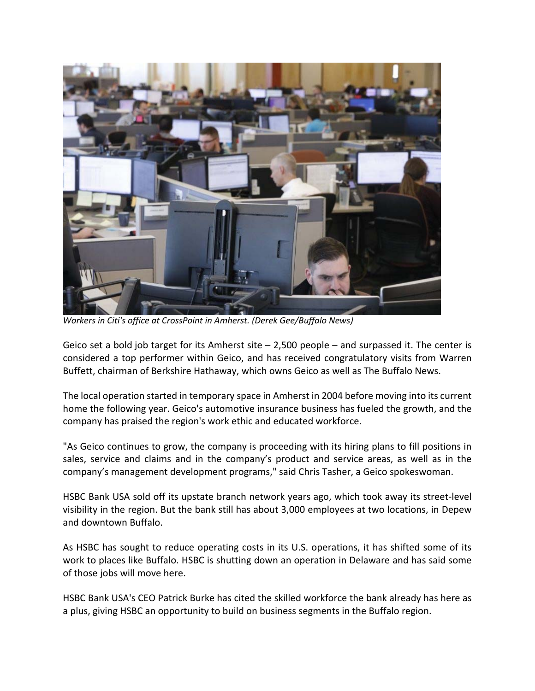

*Workers in Citi's office at CrossPoint in Amherst. (Derek Gee/Buffalo News)*

Geico set a bold job target for its Amherst site – 2,500 people – and surpassed it. The center is considered a top performer within Geico, and has received congratulatory visits from Warren Buffett, chairman of Berkshire Hathaway, which owns Geico as well as The Buffalo News.

The local operation started in temporary space in Amherst in 2004 before moving into its current home the following year. Geico's automotive insurance business has fueled the growth, and the company has praised the region's work ethic and educated workforce.

"As Geico continues to grow, the company is proceeding with its hiring plans to fill positions in sales, service and claims and in the company's product and service areas, as well as in the company's management development programs," said Chris Tasher, a Geico spokeswoman.

HSBC Bank USA sold off its upstate branch network years ago, which took away its street‐level visibility in the region. But the bank still has about 3,000 employees at two locations, in Depew and downtown Buffalo.

As HSBC has sought to reduce operating costs in its U.S. operations, it has shifted some of its work to places like Buffalo. HSBC is shutting down an operation in Delaware and has said some of those jobs will move here.

HSBC Bank USA's CEO Patrick Burke has cited the skilled workforce the bank already has here as a plus, giving HSBC an opportunity to build on business segments in the Buffalo region.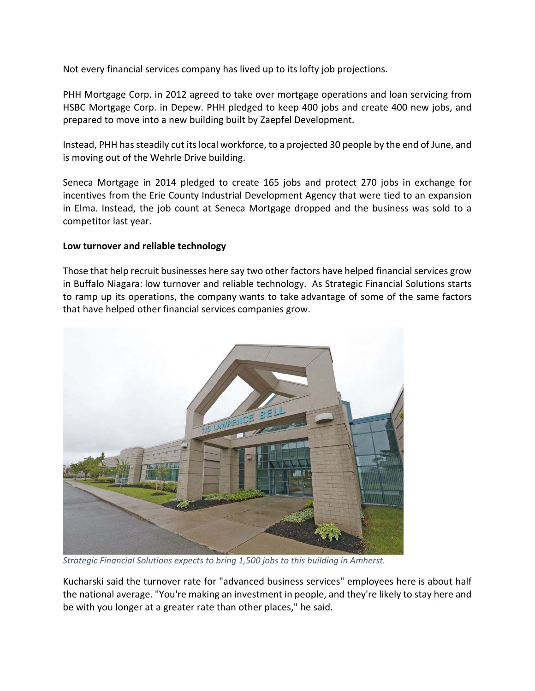Not every financial services company has lived up to its lofty job projections.

PHH Mortgage Corp. in 2012 agreed to take over mortgage operations and loan servicing from HSBC Mortgage Corp. in Depew. PHH pledged to keep 400 jobs and create 400 new jobs, and prepared to move into a new building built by Zaepfel Development.

Instead, PHH hassteadily cut itslocal workforce, to a projected 30 people by the end of June, and is moving out of the Wehrle Drive building.

Seneca Mortgage in 2014 pledged to create 165 jobs and protect 270 jobs in exchange for incentives from the Erie County Industrial Development Agency that were tied to an expansion in Elma. Instead, the job count at Seneca Mortgage dropped and the business was sold to a competitor last year.

## **Low turnover and reliable technology**

Those that help recruit businesses here say two other factors have helped financial services grow in Buffalo Niagara: low turnover and reliable technology. As Strategic Financial Solutions starts to ramp up its operations, the company wants to take advantage of some of the same factors that have helped other financial services companies grow.



*Strategic Financial Solutions expects to bring 1,500 jobs to this building in Amherst.* 

Kucharski said the turnover rate for "advanced business services" employees here is about half the national average. "You're making an investment in people, and they're likely to stay here and be with you longer at a greater rate than other places," he said.